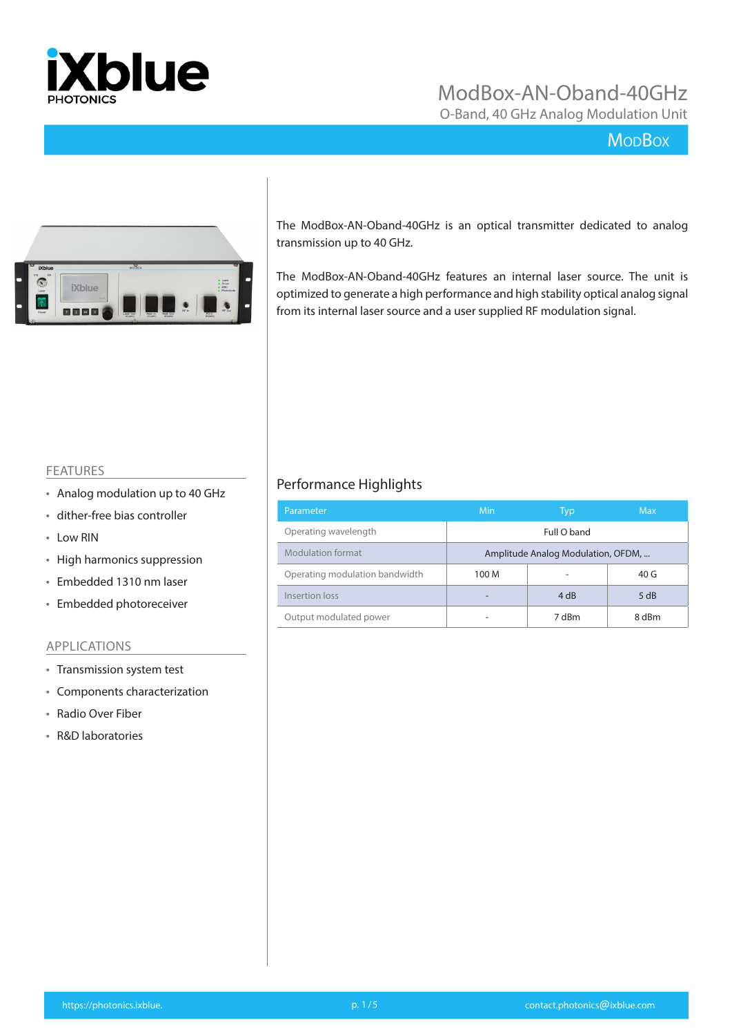

O-Band, 40 GHz Analog Modulation Unit

## **MoDBox**



The ModBox-AN-Oband-40GHz is an optical transmitter dedicated to analog transmission up to 40 GHz.

The ModBox-AN-Oband-40GHz features an internal laser source. The unit is optimized to generate a high performance and high stability optical analog signal from its internal laser source and a user supplied RF modulation signal.

#### FEATURES

- Analog modulation up to 40 GHz
- dither-free bias controller
- Low RIN
- High harmonics suppression
- Embedded 1310 nm laser
- Embedded photoreceiver

#### APPLICATIONS

- Transmission system test
- Components characterization
- Radio Over Fiber
- R&D laboratories

## Performance Highlights

| Parameter                      | Min                                | Typ   | <b>Max</b>      |  |
|--------------------------------|------------------------------------|-------|-----------------|--|
| Operating wavelength           | Full O band                        |       |                 |  |
| Modulation format              | Amplitude Analog Modulation, OFDM, |       |                 |  |
| Operating modulation bandwidth | 100 M                              |       | 40 <sub>G</sub> |  |
| Insertion loss                 |                                    | 4 dB  | 5 dB            |  |
| Output modulated power         |                                    | 7 dBm | 8 dBm           |  |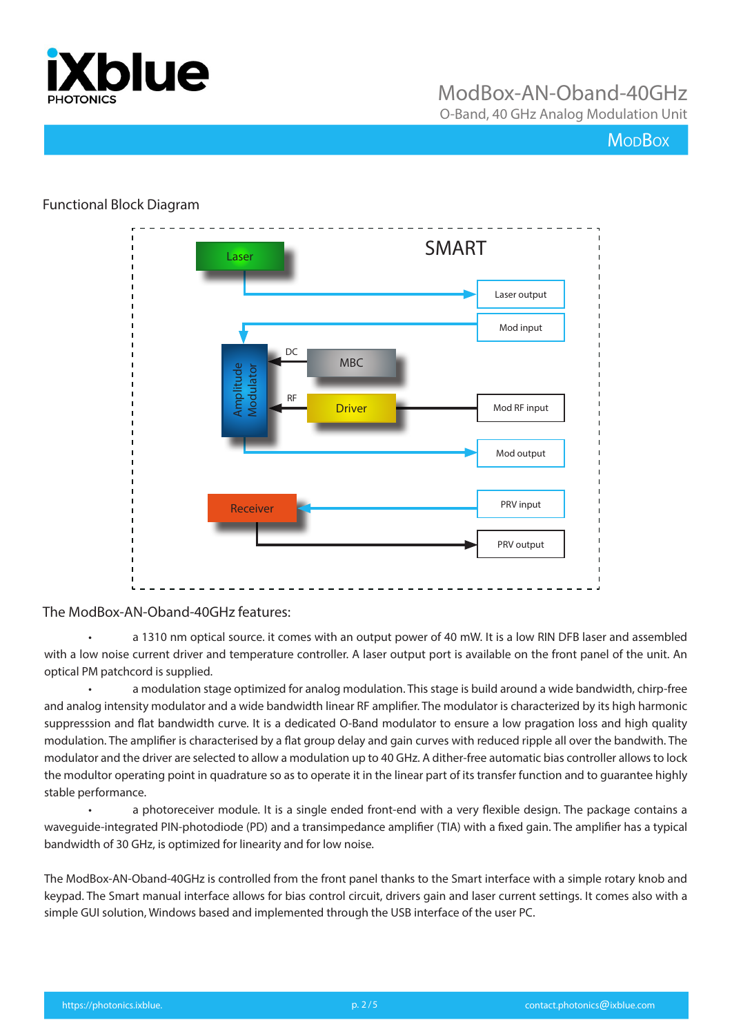

O-Band, 40 GHz Analog Modulation Unit

## **MopBox**

### Functional Block Diagram



### The ModBox-AN-Oband-40GHz features:

• a 1310 nm optical source. it comes with an output power of 40 mW. It is a low RIN DFB laser and assembled with a low noise current driver and temperature controller. A laser output port is available on the front panel of the unit. An optical PM patchcord is supplied.

• a modulation stage optimized for analog modulation. This stage is build around a wide bandwidth, chirp-free and analog intensity modulator and a wide bandwidth linear RF amplifier. The modulator is characterized by its high harmonic suppresssion and flat bandwidth curve. It is a dedicated O-Band modulator to ensure a low pragation loss and high quality modulation. The amplifier is characterised by a flat group delay and gain curves with reduced ripple all over the bandwith. The modulator and the driver are selected to allow a modulation up to 40 GHz. A dither-free automatic bias controller allows to lock the modultor operating point in quadrature so as to operate it in the linear part of its transfer function and to guarantee highly stable performance.

a photoreceiver module. It is a single ended front-end with a very flexible design. The package contains a waveguide-integrated PIN-photodiode (PD) and a transimpedance amplifier (TIA) with a fixed gain. The amplifier has a typical bandwidth of 30 GHz, is optimized for linearity and for low noise.

The ModBox-AN-Oband-40GHz is controlled from the front panel thanks to the Smart interface with a simple rotary knob and keypad. The Smart manual interface allows for bias control circuit, drivers gain and laser current settings. It comes also with a simple GUI solution, Windows based and implemented through the USB interface of the user PC.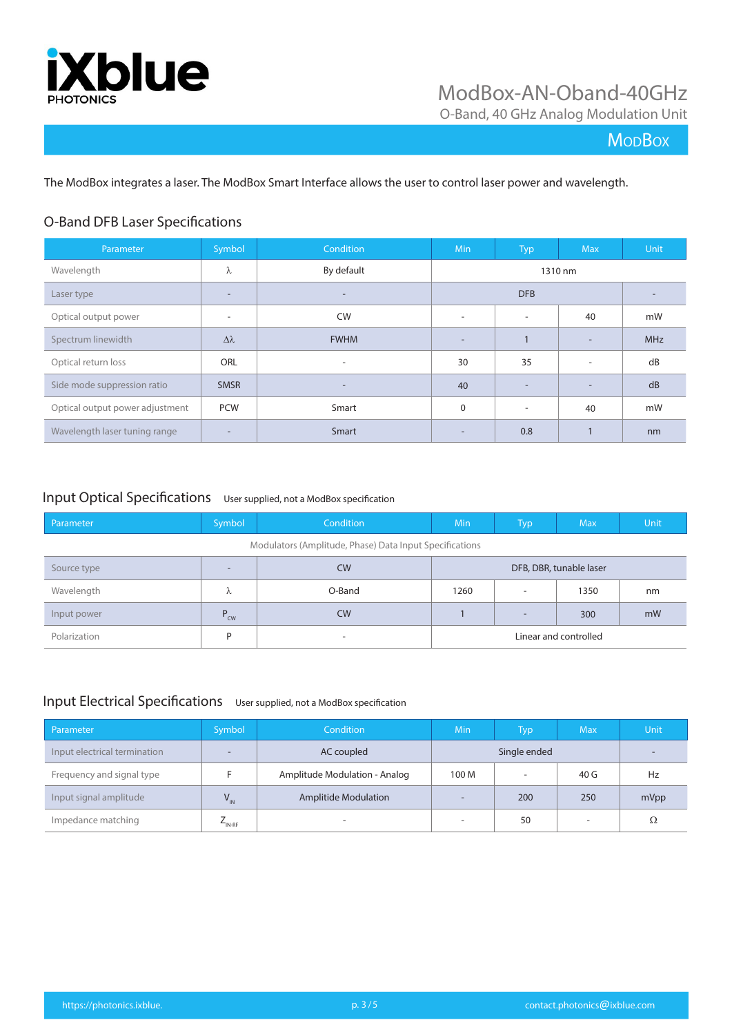

O-Band, 40 GHz Analog Modulation Unit

## **MoDBox**

The ModBox integrates a laser. The ModBox Smart Interface allows the user to control laser power and wavelength.

## O-Band DFB Laser Specifications

| Parameter                       | Symbol                   | Condition                | <b>Min</b>               | Typ                      | <b>Max</b>               | Unit       |
|---------------------------------|--------------------------|--------------------------|--------------------------|--------------------------|--------------------------|------------|
| Wavelength                      | λ                        | By default               |                          |                          | 1310 nm                  |            |
| Laser type                      | ۰                        | $\overline{\phantom{a}}$ |                          | <b>DFB</b>               |                          |            |
| Optical output power            | $\overline{\phantom{a}}$ | <b>CW</b>                | $\overline{\phantom{a}}$ | $\overline{\phantom{a}}$ | 40                       | mW         |
| Spectrum linewidth              | $\Delta\lambda$          | <b>FWHM</b>              | $\overline{\phantom{a}}$ |                          | $\overline{\phantom{a}}$ | <b>MHz</b> |
| Optical return loss             | <b>ORL</b>               | $\overline{\phantom{a}}$ | 30                       | 35                       | $\overline{\phantom{a}}$ | dB         |
| Side mode suppression ratio     | <b>SMSR</b>              | $\overline{\phantom{a}}$ | 40                       |                          | $\overline{\phantom{a}}$ | dB         |
| Optical output power adjustment | <b>PCW</b>               | Smart                    | 0                        | $\overline{\phantom{a}}$ | 40                       | mW         |
| Wavelength laser tuning range   | ۰                        | Smart                    | $\overline{a}$           | 0.8                      | $\mathbf{1}$             | nm         |

### Input Optical Specifications User supplied, not a ModBox specification

| Parameter                                               | Symbol          | <b>Condition</b> | <b>Min</b> | <b>Typ</b>               | <b>Max</b>              | Unit |
|---------------------------------------------------------|-----------------|------------------|------------|--------------------------|-------------------------|------|
| Modulators (Amplitude, Phase) Data Input Specifications |                 |                  |            |                          |                         |      |
| Source type                                             | $\sim$          | <b>CW</b>        |            |                          | DFB, DBR, tunable laser |      |
| Wavelength                                              | λ               | O-Band           | 1260       | ۰                        | 1350                    | nm   |
| Input power                                             | $P_{\text{cw}}$ | <b>CW</b>        |            | $\overline{\phantom{0}}$ | 300                     | mW   |
| Polarization                                            | D               | -                |            |                          | Linear and controlled   |      |

### Input Electrical Specifications User supplied, not a ModBox specification

| Parameter                    | Symbol             | <b>Condition</b>              | Min                      | Typ          | <b>Max</b>               | Unit |
|------------------------------|--------------------|-------------------------------|--------------------------|--------------|--------------------------|------|
| Input electrical termination |                    | AC coupled                    |                          | Single ended |                          |      |
| Frequency and signal type    |                    | Amplitude Modulation - Analog | 100 M                    |              | 40 G                     | Hz   |
| Input signal amplitude       | $V_{\text{IN}}$    | <b>Amplitide Modulation</b>   | $\overline{\phantom{a}}$ | 200          | 250                      | mVpp |
| Impedance matching           | $L_{\text{IN-RF}}$ | $\overline{\phantom{a}}$      | $\overline{\phantom{a}}$ | 50           | $\overline{\phantom{a}}$ | Ω    |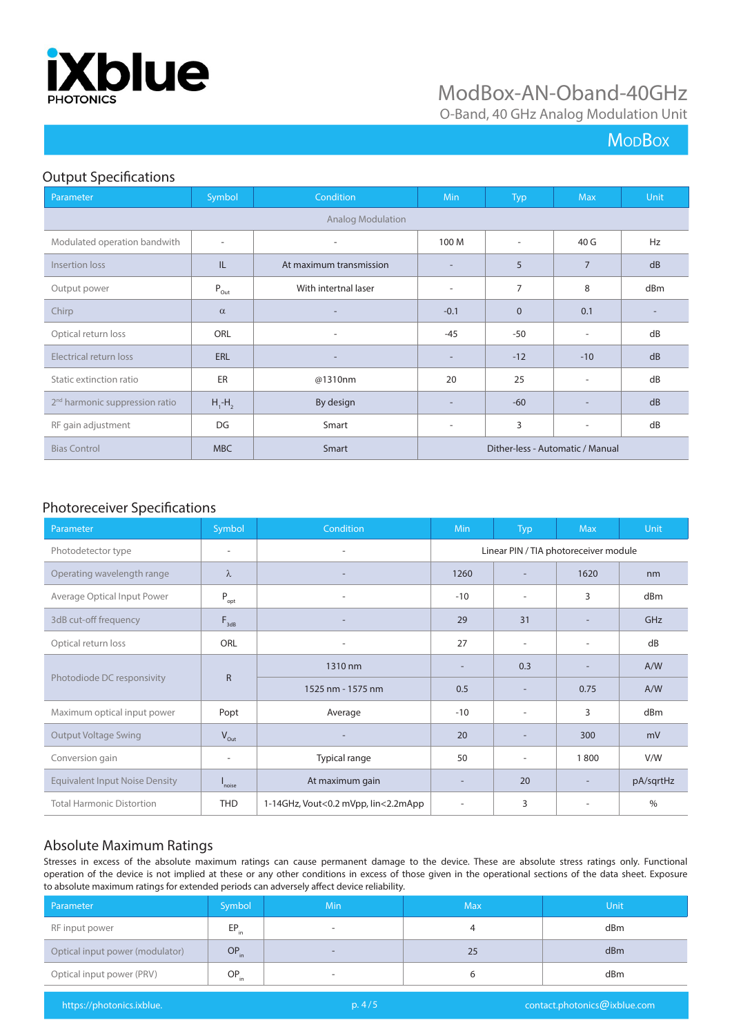

O-Band, 40 GHz Analog Modulation Unit

## **MoDBox**

### Output Specifications

| Parameter                                  | Symbol                      | Condition                | Min                              | <b>Typ</b>               | <b>Max</b>               | Unit |
|--------------------------------------------|-----------------------------|--------------------------|----------------------------------|--------------------------|--------------------------|------|
| <b>Analog Modulation</b>                   |                             |                          |                                  |                          |                          |      |
| Modulated operation bandwith               | $\overline{\phantom{a}}$    |                          | 100 M                            | $\overline{\phantom{a}}$ | 40 G                     | Hz   |
| Insertion loss                             | IL                          | At maximum transmission  | $\overline{\phantom{a}}$         | 5                        | $\overline{7}$           | dB   |
| Output power                               | $\mathsf{P}_{\mathsf{Out}}$ | With intertnal laser     | $\overline{\phantom{a}}$         | $\overline{7}$           | 8                        | dBm  |
| Chirp                                      | $\alpha$                    |                          | $-0.1$                           | $\mathbf{0}$             | 0.1                      |      |
| Optical return loss                        | <b>ORL</b>                  |                          | $-45$                            | $-50$                    | $\overline{\phantom{a}}$ | dB   |
| Electrical return loss                     | ERL                         | $\overline{\phantom{a}}$ | $\overline{\phantom{a}}$         | $-12$                    | $-10$                    | dB   |
| Static extinction ratio                    | ER                          | @1310nm                  | 20                               | 25                       | $\overline{\phantom{a}}$ | dB   |
| 2 <sup>nd</sup> harmonic suppression ratio | $H_1$ - $H_2$               | By design                | $\overline{\phantom{a}}$         | $-60$                    |                          | dB   |
| RF gain adjustment                         | DG                          | Smart                    | $\overline{\phantom{a}}$         | 3                        | $\overline{\phantom{a}}$ | dB   |
| <b>Bias Control</b>                        | <b>MBC</b>                  | Smart                    | Dither-less - Automatic / Manual |                          |                          |      |

## Photoreceiver Specifications

| Parameter                             | Symbol                   | Condition                           | <b>Min</b>               | <b>Typ</b>               | <b>Max</b>                            | <b>Unit</b>   |
|---------------------------------------|--------------------------|-------------------------------------|--------------------------|--------------------------|---------------------------------------|---------------|
| Photodetector type                    | ٠                        | ٠                                   |                          |                          | Linear PIN / TIA photoreceiver module |               |
| Operating wavelength range            | λ                        |                                     | 1260                     |                          | 1620                                  | nm            |
| Average Optical Input Power           | $P_{opt}$                |                                     | $-10$                    |                          | 3                                     | dBm           |
| 3dB cut-off frequency                 | $F_{\text{3dB}}$         |                                     | 29                       | 31                       |                                       | GHz           |
| Optical return loss                   | ORL                      |                                     | 27                       | $\overline{\phantom{a}}$ | ٠                                     | dB            |
|                                       |                          | 1310 nm                             | $\overline{\phantom{a}}$ | 0.3                      |                                       | A/W           |
| Photodiode DC responsivity            | $\mathsf{R}$             | 1525 nm - 1575 nm                   | 0.5                      | $\overline{\phantom{a}}$ | 0.75                                  | A/W           |
| Maximum optical input power           | Popt                     | Average                             | $-10$                    |                          | 3                                     | dBm           |
| <b>Output Voltage Swing</b>           | $V_{\text{Out}}$         |                                     | 20                       |                          | 300                                   | mV            |
| Conversion gain                       | $\overline{\phantom{a}}$ | Typical range                       | 50                       | $\overline{\phantom{a}}$ | 1800                                  | V/W           |
| <b>Equivalent Input Noise Density</b> | l<br>noise               | At maximum gain                     | $\overline{\phantom{a}}$ | 20                       |                                       | pA/sqrtHz     |
| <b>Total Harmonic Distortion</b>      | <b>THD</b>               | 1-14GHz, Vout<0.2 mVpp, lin<2.2mApp | -                        | 3                        |                                       | $\frac{0}{0}$ |

## Absolute Maximum Ratings

Stresses in excess of the absolute maximum ratings can cause permanent damage to the device. These are absolute stress ratings only. Functional operation of the device is not implied at these or any other conditions in excess of those given in the operational sections of the data sheet. Exposure to absolute maximum ratings for extended periods can adversely affect device reliability.

| Parameter                       | Symbol    | <b>Min</b>               | <b>Max</b> | <b>Unit</b> |
|---------------------------------|-----------|--------------------------|------------|-------------|
| RF input power                  | EP.<br>in | $\overline{\phantom{a}}$ |            | dBm         |
| Optical input power (modulator) | $OP_{in}$ | $\overline{\phantom{a}}$ | 25         | dBm         |
| Optical input power (PRV)       | $OP_{in}$ | $\overline{\phantom{a}}$ |            | dBm         |